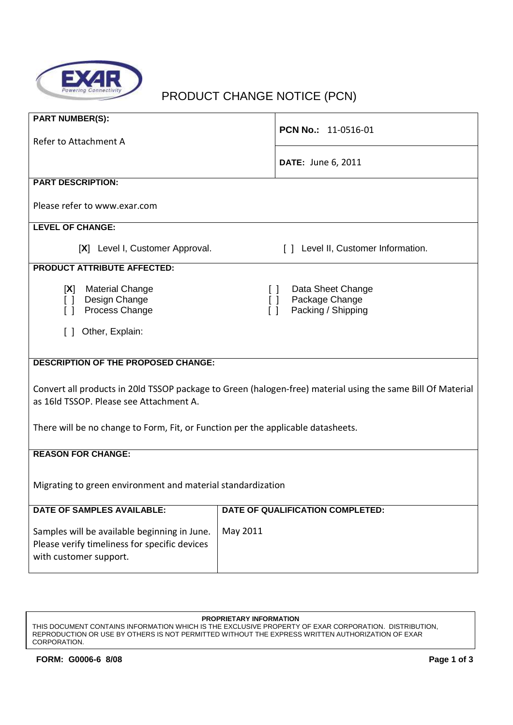

# PRODUCT CHANGE NOTICE (PCN)

| <b>PART NUMBER(S):</b>                                                                |                                                                                                             |  |  |  |  |  |  |  |
|---------------------------------------------------------------------------------------|-------------------------------------------------------------------------------------------------------------|--|--|--|--|--|--|--|
| Refer to Attachment A                                                                 | PCN No.: 11-0516-01                                                                                         |  |  |  |  |  |  |  |
|                                                                                       | <b>DATE: June 6, 2011</b>                                                                                   |  |  |  |  |  |  |  |
| <b>PART DESCRIPTION:</b>                                                              |                                                                                                             |  |  |  |  |  |  |  |
| Please refer to www.exar.com                                                          |                                                                                                             |  |  |  |  |  |  |  |
| <b>LEVEL OF CHANGE:</b>                                                               |                                                                                                             |  |  |  |  |  |  |  |
| [X] Level I, Customer Approval.                                                       | [ ] Level II, Customer Information.                                                                         |  |  |  |  |  |  |  |
| <b>PRODUCT ATTRIBUTE AFFECTED:</b>                                                    |                                                                                                             |  |  |  |  |  |  |  |
| <b>Material Change</b><br>[X]<br>Design Change<br>$\lceil$ $\rceil$<br>Process Change | Data Sheet Change<br>$\Box$<br>Package Change<br>$\Box$<br>Packing / Shipping<br>$\Box$                     |  |  |  |  |  |  |  |
| Other, Explain:<br>$\Box$                                                             |                                                                                                             |  |  |  |  |  |  |  |
|                                                                                       |                                                                                                             |  |  |  |  |  |  |  |
| <b>DESCRIPTION OF THE PROPOSED CHANGE:</b>                                            |                                                                                                             |  |  |  |  |  |  |  |
|                                                                                       |                                                                                                             |  |  |  |  |  |  |  |
|                                                                                       | Convert all products in 20ld TSSOP package to Green (halogen-free) material using the same Bill Of Material |  |  |  |  |  |  |  |
| as 16ld TSSOP. Please see Attachment A.                                               |                                                                                                             |  |  |  |  |  |  |  |
|                                                                                       |                                                                                                             |  |  |  |  |  |  |  |
| There will be no change to Form, Fit, or Function per the applicable datasheets.      |                                                                                                             |  |  |  |  |  |  |  |
| <b>REASON FOR CHANGE:</b>                                                             |                                                                                                             |  |  |  |  |  |  |  |
|                                                                                       |                                                                                                             |  |  |  |  |  |  |  |
|                                                                                       |                                                                                                             |  |  |  |  |  |  |  |
| Migrating to green environment and material standardization                           |                                                                                                             |  |  |  |  |  |  |  |
| <b>DATE OF SAMPLES AVAILABLE:</b>                                                     | DATE OF QUALIFICATION COMPLETED:                                                                            |  |  |  |  |  |  |  |
| Samples will be available beginning in June.                                          | May 2011                                                                                                    |  |  |  |  |  |  |  |
| Please verify timeliness for specific devices                                         |                                                                                                             |  |  |  |  |  |  |  |
| with customer support.                                                                |                                                                                                             |  |  |  |  |  |  |  |
|                                                                                       |                                                                                                             |  |  |  |  |  |  |  |

#### **PROPRIETARY INFORMATION**

THIS DOCUMENT CONTAINS INFORMATION WHICH IS THE EXCLUSIVE PROPERTY OF EXAR CORPORATION. DISTRIBUTION, REPRODUCTION OR USE BY OTHERS IS NOT PERMITTED WITHOUT THE EXPRESS WRITTEN AUTHORIZATION OF EXAR CORPORATION.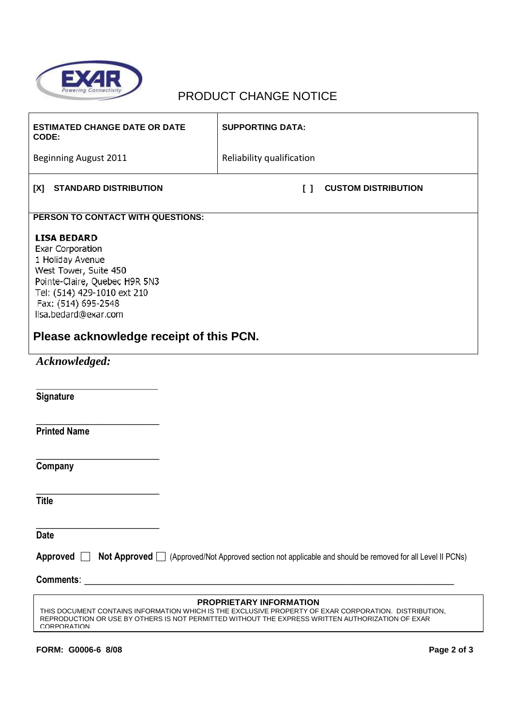

## PRODUCT CHANGE NOTICE

| <b>ESTIMATED CHANGE DATE OR DATE</b><br>CODE:                                                                                                                                                                                                               | <b>SUPPORTING DATA:</b>              |  |  |  |  |  |  |
|-------------------------------------------------------------------------------------------------------------------------------------------------------------------------------------------------------------------------------------------------------------|--------------------------------------|--|--|--|--|--|--|
| Beginning August 2011                                                                                                                                                                                                                                       | Reliability qualification            |  |  |  |  |  |  |
| [X]<br><b>STANDARD DISTRIBUTION</b>                                                                                                                                                                                                                         | $\Box$<br><b>CUSTOM DISTRIBUTION</b> |  |  |  |  |  |  |
| PERSON TO CONTACT WITH QUESTIONS:                                                                                                                                                                                                                           |                                      |  |  |  |  |  |  |
| <b>LISA BEDARD</b><br>Exar Corporation<br>1 Holiday Avenue<br>West Tower, Suite 450<br>Pointe-Claire, Quebec H9R 5N3<br>Tel: (514) 429-1010 ext 210<br>Fax: (514) 695-2548<br>lisa.bedard@exar.com<br>Please acknowledge receipt of this PCN.               |                                      |  |  |  |  |  |  |
| Acknowledged:                                                                                                                                                                                                                                               |                                      |  |  |  |  |  |  |
| Signature                                                                                                                                                                                                                                                   |                                      |  |  |  |  |  |  |
| <b>Printed Name</b>                                                                                                                                                                                                                                         |                                      |  |  |  |  |  |  |
| Company                                                                                                                                                                                                                                                     |                                      |  |  |  |  |  |  |
| <b>Title</b>                                                                                                                                                                                                                                                |                                      |  |  |  |  |  |  |
| <b>Date</b>                                                                                                                                                                                                                                                 |                                      |  |  |  |  |  |  |
| Approved $\Box$<br>Not Approved □ (Approved/Not Approved section not applicable and should be removed for all Level II PCNs)                                                                                                                                |                                      |  |  |  |  |  |  |
|                                                                                                                                                                                                                                                             |                                      |  |  |  |  |  |  |
| <b>PROPRIETARY INFORMATION</b><br>THIS DOCUMENT CONTAINS INFORMATION WHICH IS THE EXCLUSIVE PROPERTY OF EXAR CORPORATION. DISTRIBUTION,<br>REPRODUCTION OR USE BY OTHERS IS NOT PERMITTED WITHOUT THE EXPRESS WRITTEN AUTHORIZATION OF EXAR<br>CORPORATION. |                                      |  |  |  |  |  |  |